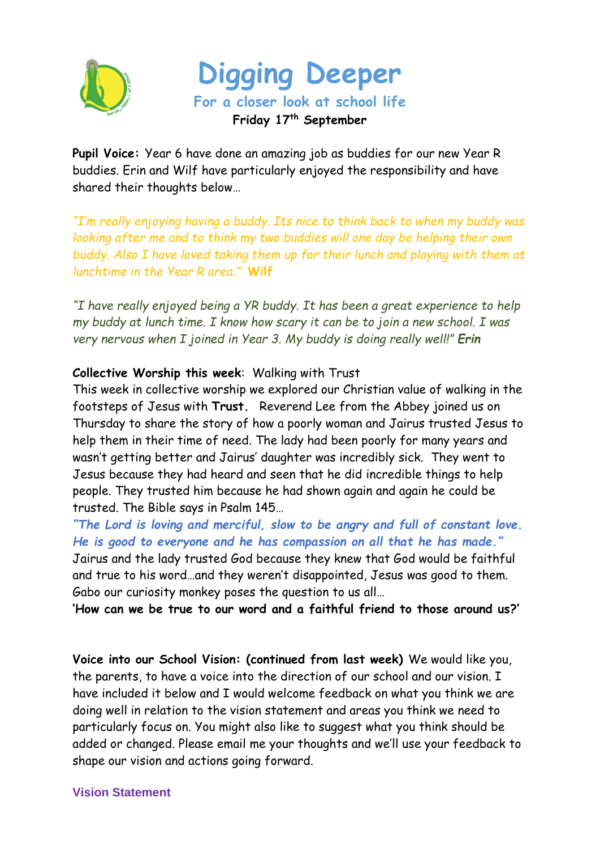



**Pupil Voice:** Year 6 have done an amazing job as buddies for our new Year R buddies. Erin and Wilf have particularly enjoyed the responsibility and have shared their thoughts below…

*"I'm really enjoying having a buddy. Its nice to think back to when my buddy was looking after me and to think my two buddies will one day be helping their own buddy. Also I have loved taking them up for their lunch and playing with them at lunchtime in the Year R area."* **Wilf**

*"I have really enjoyed being a YR buddy. It has been a great experience to help my buddy at lunch time. I know how scary it can be to join a new school. I was very nervous when I joined in Year 3. My buddy is doing really well!" Erin*

## **Collective Worship this week**: Walking with Trust

This week in collective worship we explored our Christian value of walking in the footsteps of Jesus with **Trust.** Reverend Lee from the Abbey joined us on Thursday to share the story of how a poorly woman and Jairus trusted Jesus to help them in their time of need. The lady had been poorly for many years and wasn't getting better and Jairus' daughter was incredibly sick. They went to Jesus because they had heard and seen that he did incredible things to help people. They trusted him because he had shown again and again he could be trusted. The Bible says in Psalm 145…

*"The Lord is loving and merciful, slow to be angry and full of constant love. He is good to everyone and he has compassion on all that he has made."* Jairus and the lady trusted God because they knew that God would be faithful and true to his word…and they weren't disappointed, Jesus was good to them. Gabo our curiosity monkey poses the question to us all…

**'How can we be true to our word and a faithful friend to those around us?'**

**Voice into our School Vision: (continued from last week)** We would like you, the parents, to have a voice into the direction of our school and our vision. I have included it below and I would welcome feedback on what you think we are doing well in relation to the vision statement and areas you think we need to particularly focus on. You might also like to suggest what you think should be added or changed. Please email me your thoughts and we'll use your feedback to shape our vision and actions going forward.

## **Vision Statement**